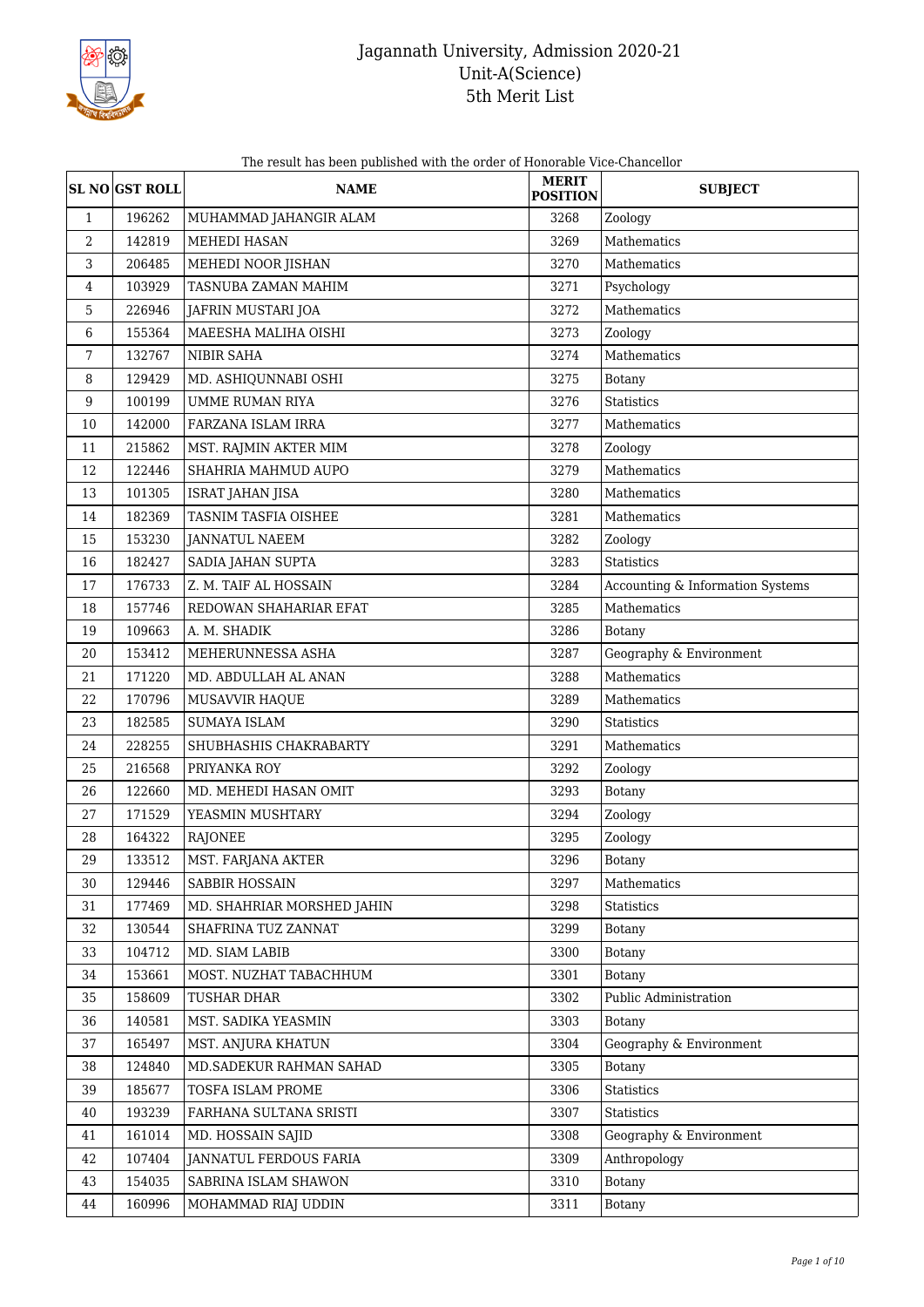

The result has been published with the order of Honorable Vice-Chancellor

|                  | <b>SL NO GST ROLL</b> | <b>NAME</b>                | <b>MERIT</b><br><b>POSITION</b> | <b>SUBJECT</b>                   |
|------------------|-----------------------|----------------------------|---------------------------------|----------------------------------|
| $\mathbf{1}$     | 196262                | MUHAMMAD JAHANGIR ALAM     | 3268                            | Zoology                          |
| $\boldsymbol{2}$ | 142819                | <b>MEHEDI HASAN</b>        | 3269                            | Mathematics                      |
| 3                | 206485                | MEHEDI NOOR JISHAN         | 3270                            | Mathematics                      |
| 4                | 103929                | TASNUBA ZAMAN MAHIM        | 3271                            | Psychology                       |
| 5                | 226946                | JAFRIN MUSTARI JOA         | 3272                            | Mathematics                      |
| 6                | 155364                | MAEESHA MALIHA OISHI       | 3273                            | Zoology                          |
| 7                | 132767                | NIBIR SAHA                 | 3274                            | Mathematics                      |
| 8                | 129429                | MD. ASHIQUNNABI OSHI       | 3275                            | Botany                           |
| $9\,$            | 100199                | <b>UMME RUMAN RIYA</b>     | 3276                            | <b>Statistics</b>                |
| 10               | 142000                | FARZANA ISLAM IRRA         | 3277                            | Mathematics                      |
| 11               | 215862                | MST. RAJMIN AKTER MIM      | 3278                            | Zoology                          |
| 12               | 122446                | SHAHRIA MAHMUD AUPO        | 3279                            | Mathematics                      |
| 13               | 101305                | ISRAT JAHAN JISA           | 3280                            | Mathematics                      |
| 14               | 182369                | TASNIM TASFIA OISHEE       | 3281                            | Mathematics                      |
| 15               | 153230                | <b>JANNATUL NAEEM</b>      | 3282                            | Zoology                          |
| 16               | 182427                | SADIA JAHAN SUPTA          | 3283                            | Statistics                       |
| 17               | 176733                | Z. M. TAIF AL HOSSAIN      | 3284                            | Accounting & Information Systems |
| 18               | 157746                | REDOWAN SHAHARIAR EFAT     | 3285                            | Mathematics                      |
| 19               | 109663                | A. M. SHADIK               | 3286                            | Botany                           |
| 20               | 153412                | MEHERUNNESSA ASHA          | 3287                            | Geography & Environment          |
| 21               | 171220                | MD. ABDULLAH AL ANAN       | 3288                            | Mathematics                      |
| 22               | 170796                | MUSAVVIR HAQUE             | 3289                            | Mathematics                      |
| 23               | 182585                | <b>SUMAYA ISLAM</b>        | 3290                            | <b>Statistics</b>                |
| 24               | 228255                | SHUBHASHIS CHAKRABARTY     | 3291                            | Mathematics                      |
| 25               | 216568                | PRIYANKA ROY               | 3292                            | Zoology                          |
| 26               | 122660                | MD. MEHEDI HASAN OMIT      | 3293                            | <b>Botany</b>                    |
| 27               | 171529                | YEASMIN MUSHTARY           | 3294                            | Zoology                          |
| 28               | 164322                | RAJONEE                    | 3295                            | Zoology                          |
| 29               | 133512                | MST. FARJANA AKTER         | 3296                            | <b>Botany</b>                    |
| 30               | 129446                | SABBIR HOSSAIN             | 3297                            | Mathematics                      |
| 31               | 177469                | MD. SHAHRIAR MORSHED JAHIN | 3298                            | Statistics                       |
| 32               | 130544                | SHAFRINA TUZ ZANNAT        | 3299                            | <b>Botany</b>                    |
| 33               | 104712                | MD. SIAM LABIB             | 3300                            | <b>Botany</b>                    |
| 34               | 153661                | MOST. NUZHAT TABACHHUM     | 3301                            | Botany                           |
| 35               | 158609                | TUSHAR DHAR                | 3302                            | Public Administration            |
| 36               | 140581                | MST. SADIKA YEASMIN        | 3303                            | Botany                           |
| 37               | 165497                | MST. ANJURA KHATUN         | 3304                            | Geography & Environment          |
| 38               | 124840                | MD.SADEKUR RAHMAN SAHAD    | 3305                            | <b>Botany</b>                    |
| 39               | 185677                | TOSFA ISLAM PROME          | 3306                            | Statistics                       |
| 40               | 193239                | FARHANA SULTANA SRISTI     | 3307                            | Statistics                       |
| 41               | 161014                | MD. HOSSAIN SAJID          | 3308                            | Geography & Environment          |
| 42               | 107404                | JANNATUL FERDOUS FARIA     | 3309                            | Anthropology                     |
| 43               | 154035                | SABRINA ISLAM SHAWON       | 3310                            | Botany                           |
| 44               | 160996                | MOHAMMAD RIAJ UDDIN        | 3311                            | <b>Botany</b>                    |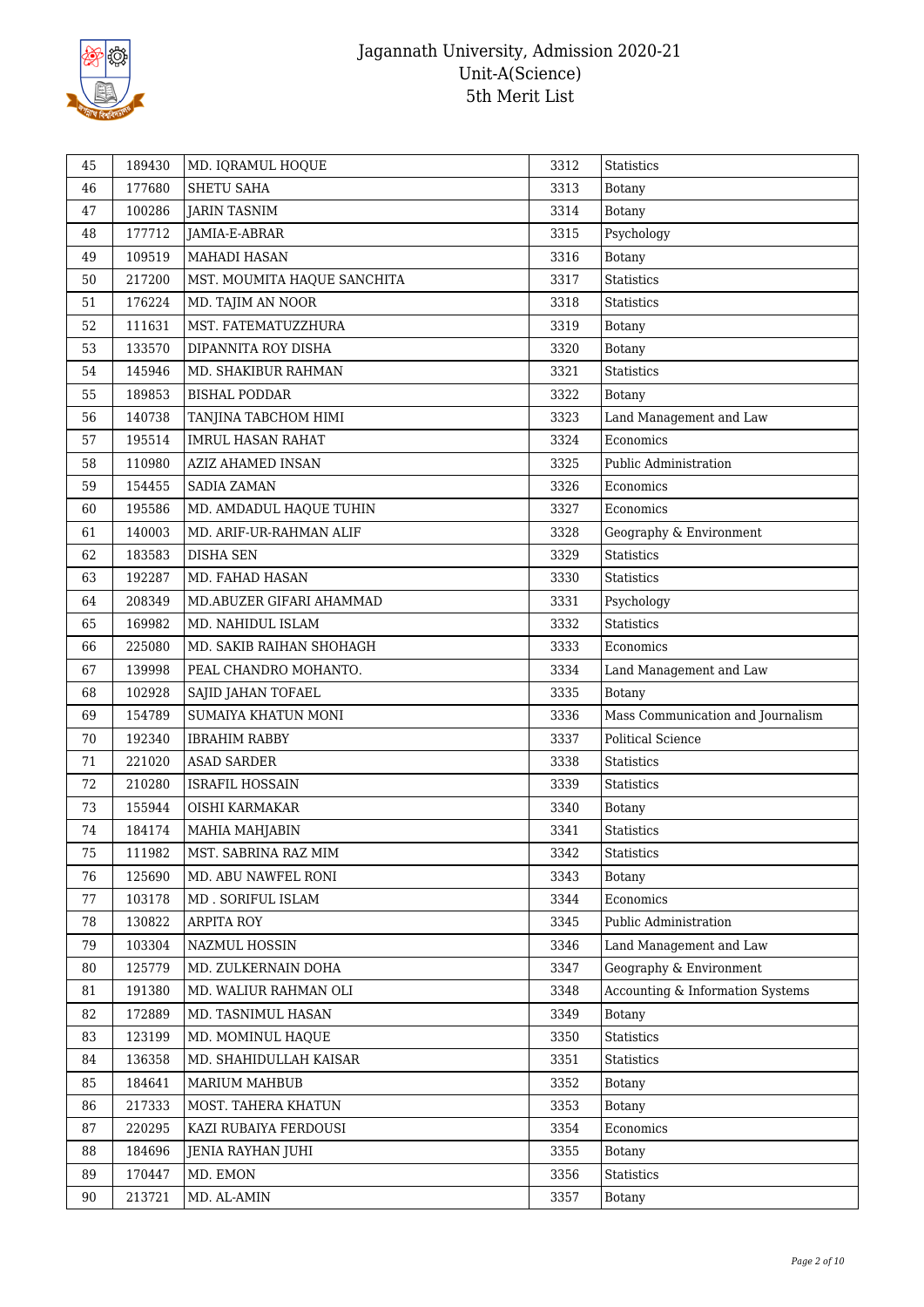

| SHETU SAHA<br>3313<br>46<br>177680<br><b>Botany</b><br>100286<br><b>JARIN TASNIM</b><br>3314<br>Botany<br>47<br>177712<br>Psychology<br>3315<br>48<br>JAMIA-E-ABRAR<br>109519<br><b>MAHADI HASAN</b><br>3316<br>49<br><b>Botany</b><br><b>Statistics</b><br>50<br>3317<br>217200<br>MST. MOUMITA HAQUE SANCHITA<br>176224<br>3318<br>51<br>MD. TAJIM AN NOOR<br><b>Statistics</b><br>52<br>111631<br>MST. FATEMATUZZHURA<br>3319<br>Botany<br>133570<br>3320<br>53<br>DIPANNITA ROY DISHA<br>Botany<br>145946<br>3321<br>Statistics<br>54<br>MD. SHAKIBUR RAHMAN<br>189853<br>3322<br>55<br><b>BISHAL PODDAR</b><br><b>Botany</b><br>140738<br>3323<br>56<br>TANJINA TABCHOM HIMI<br>Land Management and Law<br>195514<br><b>IMRUL HASAN RAHAT</b><br>3324<br>Economics<br>57<br>3325<br>Public Administration<br>58<br>110980<br>AZIZ AHAMED INSAN<br>154455<br>3326<br>59<br><b>SADIA ZAMAN</b><br>Economics<br>195586<br>MD. AMDADUL HAQUE TUHIN<br>3327<br>Economics<br>60<br>140003<br>3328<br>Geography & Environment<br>61<br>MD. ARIF-UR-RAHMAN ALIF<br>183583<br>3329<br><b>Statistics</b><br>62<br><b>DISHA SEN</b><br>63<br>3330<br>192287<br>MD. FAHAD HASAN<br><b>Statistics</b><br>64<br>208349<br>MD.ABUZER GIFARI AHAMMAD<br>3331<br>Psychology<br>169982<br>3332<br>Statistics<br>65<br>MD. NAHIDUL ISLAM<br>225080<br>MD. SAKIB RAIHAN SHOHAGH<br>3333<br>Economics<br>66<br>Land Management and Law<br>139998<br>PEAL CHANDRO MOHANTO.<br>3334<br>67<br>3335<br>68<br>102928<br>SAJID JAHAN TOFAEL<br><b>Botany</b><br>154789<br>3336<br>Mass Communication and Journalism<br>69<br>SUMAIYA KHATUN MONI<br>70<br>192340<br>3337<br><b>Political Science</b><br><b>IBRAHIM RABBY</b><br>221020<br>71<br><b>ASAD SARDER</b><br>3338<br>Statistics<br>210280<br>3339<br>72<br><b>ISRAFIL HOSSAIN</b><br><b>Statistics</b><br>155944<br>73<br>OISHI KARMAKAR<br>3340<br>Botany<br>184174<br>3341<br>74<br>MAHIA MAHJABIN<br>Statistics<br>111982<br>3342<br>75<br>MST. SABRINA RAZ MIM<br><b>Statistics</b><br>76<br>125690<br>3343<br>MD. ABU NAWFEL RONI<br>Botany<br>103178<br>3344<br>Economics<br>77<br>MD. SORIFUL ISLAM<br>78<br><b>ARPITA ROY</b><br>3345<br>Public Administration<br>130822<br>103304<br>NAZMUL HOSSIN<br>79<br>3346<br>Land Management and Law<br>3347<br>Geography & Environment<br>80<br>125779<br>MD. ZULKERNAIN DOHA<br>3348<br>Accounting & Information Systems<br>81<br>191380<br>MD. WALIUR RAHMAN OLI<br>172889<br>3349<br>82<br>MD. TASNIMUL HASAN<br>Botany<br>83<br>123199<br>MD. MOMINUL HAQUE<br>3350<br>Statistics<br>136358<br>MD. SHAHIDULLAH KAISAR<br>3351<br>84<br>Statistics<br>184641<br>85<br>MARIUM MAHBUB<br>3352<br>Botany<br>217333<br>MOST. TAHERA KHATUN<br>3353<br>86<br><b>Botany</b><br>87<br>220295<br>KAZI RUBAIYA FERDOUSI<br>3354<br>Economics<br>184696<br>3355<br>88<br>JENIA RAYHAN JUHI<br>Botany<br>170447<br>MD. EMON<br>Statistics<br>89<br>3356<br>213721<br>3357<br>90<br>MD. AL-AMIN<br>Botany | 45 | 189430 | MD. IQRAMUL HOQUE | 3312 | Statistics |
|--------------------------------------------------------------------------------------------------------------------------------------------------------------------------------------------------------------------------------------------------------------------------------------------------------------------------------------------------------------------------------------------------------------------------------------------------------------------------------------------------------------------------------------------------------------------------------------------------------------------------------------------------------------------------------------------------------------------------------------------------------------------------------------------------------------------------------------------------------------------------------------------------------------------------------------------------------------------------------------------------------------------------------------------------------------------------------------------------------------------------------------------------------------------------------------------------------------------------------------------------------------------------------------------------------------------------------------------------------------------------------------------------------------------------------------------------------------------------------------------------------------------------------------------------------------------------------------------------------------------------------------------------------------------------------------------------------------------------------------------------------------------------------------------------------------------------------------------------------------------------------------------------------------------------------------------------------------------------------------------------------------------------------------------------------------------------------------------------------------------------------------------------------------------------------------------------------------------------------------------------------------------------------------------------------------------------------------------------------------------------------------------------------------------------------------------------------------------------------------------------------------------------------------------------------------------------------------------------------------------------------------------------------------------------------------------------------------------------------------------------------------------------------------------------------------------------------------------------------------------------------------------------------------------------------------------------------------------------------------|----|--------|-------------------|------|------------|
|                                                                                                                                                                                                                                                                                                                                                                                                                                                                                                                                                                                                                                                                                                                                                                                                                                                                                                                                                                                                                                                                                                                                                                                                                                                                                                                                                                                                                                                                                                                                                                                                                                                                                                                                                                                                                                                                                                                                                                                                                                                                                                                                                                                                                                                                                                                                                                                                                                                                                                                                                                                                                                                                                                                                                                                                                                                                                                                                                                                      |    |        |                   |      |            |
|                                                                                                                                                                                                                                                                                                                                                                                                                                                                                                                                                                                                                                                                                                                                                                                                                                                                                                                                                                                                                                                                                                                                                                                                                                                                                                                                                                                                                                                                                                                                                                                                                                                                                                                                                                                                                                                                                                                                                                                                                                                                                                                                                                                                                                                                                                                                                                                                                                                                                                                                                                                                                                                                                                                                                                                                                                                                                                                                                                                      |    |        |                   |      |            |
|                                                                                                                                                                                                                                                                                                                                                                                                                                                                                                                                                                                                                                                                                                                                                                                                                                                                                                                                                                                                                                                                                                                                                                                                                                                                                                                                                                                                                                                                                                                                                                                                                                                                                                                                                                                                                                                                                                                                                                                                                                                                                                                                                                                                                                                                                                                                                                                                                                                                                                                                                                                                                                                                                                                                                                                                                                                                                                                                                                                      |    |        |                   |      |            |
|                                                                                                                                                                                                                                                                                                                                                                                                                                                                                                                                                                                                                                                                                                                                                                                                                                                                                                                                                                                                                                                                                                                                                                                                                                                                                                                                                                                                                                                                                                                                                                                                                                                                                                                                                                                                                                                                                                                                                                                                                                                                                                                                                                                                                                                                                                                                                                                                                                                                                                                                                                                                                                                                                                                                                                                                                                                                                                                                                                                      |    |        |                   |      |            |
|                                                                                                                                                                                                                                                                                                                                                                                                                                                                                                                                                                                                                                                                                                                                                                                                                                                                                                                                                                                                                                                                                                                                                                                                                                                                                                                                                                                                                                                                                                                                                                                                                                                                                                                                                                                                                                                                                                                                                                                                                                                                                                                                                                                                                                                                                                                                                                                                                                                                                                                                                                                                                                                                                                                                                                                                                                                                                                                                                                                      |    |        |                   |      |            |
|                                                                                                                                                                                                                                                                                                                                                                                                                                                                                                                                                                                                                                                                                                                                                                                                                                                                                                                                                                                                                                                                                                                                                                                                                                                                                                                                                                                                                                                                                                                                                                                                                                                                                                                                                                                                                                                                                                                                                                                                                                                                                                                                                                                                                                                                                                                                                                                                                                                                                                                                                                                                                                                                                                                                                                                                                                                                                                                                                                                      |    |        |                   |      |            |
|                                                                                                                                                                                                                                                                                                                                                                                                                                                                                                                                                                                                                                                                                                                                                                                                                                                                                                                                                                                                                                                                                                                                                                                                                                                                                                                                                                                                                                                                                                                                                                                                                                                                                                                                                                                                                                                                                                                                                                                                                                                                                                                                                                                                                                                                                                                                                                                                                                                                                                                                                                                                                                                                                                                                                                                                                                                                                                                                                                                      |    |        |                   |      |            |
|                                                                                                                                                                                                                                                                                                                                                                                                                                                                                                                                                                                                                                                                                                                                                                                                                                                                                                                                                                                                                                                                                                                                                                                                                                                                                                                                                                                                                                                                                                                                                                                                                                                                                                                                                                                                                                                                                                                                                                                                                                                                                                                                                                                                                                                                                                                                                                                                                                                                                                                                                                                                                                                                                                                                                                                                                                                                                                                                                                                      |    |        |                   |      |            |
|                                                                                                                                                                                                                                                                                                                                                                                                                                                                                                                                                                                                                                                                                                                                                                                                                                                                                                                                                                                                                                                                                                                                                                                                                                                                                                                                                                                                                                                                                                                                                                                                                                                                                                                                                                                                                                                                                                                                                                                                                                                                                                                                                                                                                                                                                                                                                                                                                                                                                                                                                                                                                                                                                                                                                                                                                                                                                                                                                                                      |    |        |                   |      |            |
|                                                                                                                                                                                                                                                                                                                                                                                                                                                                                                                                                                                                                                                                                                                                                                                                                                                                                                                                                                                                                                                                                                                                                                                                                                                                                                                                                                                                                                                                                                                                                                                                                                                                                                                                                                                                                                                                                                                                                                                                                                                                                                                                                                                                                                                                                                                                                                                                                                                                                                                                                                                                                                                                                                                                                                                                                                                                                                                                                                                      |    |        |                   |      |            |
|                                                                                                                                                                                                                                                                                                                                                                                                                                                                                                                                                                                                                                                                                                                                                                                                                                                                                                                                                                                                                                                                                                                                                                                                                                                                                                                                                                                                                                                                                                                                                                                                                                                                                                                                                                                                                                                                                                                                                                                                                                                                                                                                                                                                                                                                                                                                                                                                                                                                                                                                                                                                                                                                                                                                                                                                                                                                                                                                                                                      |    |        |                   |      |            |
|                                                                                                                                                                                                                                                                                                                                                                                                                                                                                                                                                                                                                                                                                                                                                                                                                                                                                                                                                                                                                                                                                                                                                                                                                                                                                                                                                                                                                                                                                                                                                                                                                                                                                                                                                                                                                                                                                                                                                                                                                                                                                                                                                                                                                                                                                                                                                                                                                                                                                                                                                                                                                                                                                                                                                                                                                                                                                                                                                                                      |    |        |                   |      |            |
|                                                                                                                                                                                                                                                                                                                                                                                                                                                                                                                                                                                                                                                                                                                                                                                                                                                                                                                                                                                                                                                                                                                                                                                                                                                                                                                                                                                                                                                                                                                                                                                                                                                                                                                                                                                                                                                                                                                                                                                                                                                                                                                                                                                                                                                                                                                                                                                                                                                                                                                                                                                                                                                                                                                                                                                                                                                                                                                                                                                      |    |        |                   |      |            |
|                                                                                                                                                                                                                                                                                                                                                                                                                                                                                                                                                                                                                                                                                                                                                                                                                                                                                                                                                                                                                                                                                                                                                                                                                                                                                                                                                                                                                                                                                                                                                                                                                                                                                                                                                                                                                                                                                                                                                                                                                                                                                                                                                                                                                                                                                                                                                                                                                                                                                                                                                                                                                                                                                                                                                                                                                                                                                                                                                                                      |    |        |                   |      |            |
|                                                                                                                                                                                                                                                                                                                                                                                                                                                                                                                                                                                                                                                                                                                                                                                                                                                                                                                                                                                                                                                                                                                                                                                                                                                                                                                                                                                                                                                                                                                                                                                                                                                                                                                                                                                                                                                                                                                                                                                                                                                                                                                                                                                                                                                                                                                                                                                                                                                                                                                                                                                                                                                                                                                                                                                                                                                                                                                                                                                      |    |        |                   |      |            |
|                                                                                                                                                                                                                                                                                                                                                                                                                                                                                                                                                                                                                                                                                                                                                                                                                                                                                                                                                                                                                                                                                                                                                                                                                                                                                                                                                                                                                                                                                                                                                                                                                                                                                                                                                                                                                                                                                                                                                                                                                                                                                                                                                                                                                                                                                                                                                                                                                                                                                                                                                                                                                                                                                                                                                                                                                                                                                                                                                                                      |    |        |                   |      |            |
|                                                                                                                                                                                                                                                                                                                                                                                                                                                                                                                                                                                                                                                                                                                                                                                                                                                                                                                                                                                                                                                                                                                                                                                                                                                                                                                                                                                                                                                                                                                                                                                                                                                                                                                                                                                                                                                                                                                                                                                                                                                                                                                                                                                                                                                                                                                                                                                                                                                                                                                                                                                                                                                                                                                                                                                                                                                                                                                                                                                      |    |        |                   |      |            |
|                                                                                                                                                                                                                                                                                                                                                                                                                                                                                                                                                                                                                                                                                                                                                                                                                                                                                                                                                                                                                                                                                                                                                                                                                                                                                                                                                                                                                                                                                                                                                                                                                                                                                                                                                                                                                                                                                                                                                                                                                                                                                                                                                                                                                                                                                                                                                                                                                                                                                                                                                                                                                                                                                                                                                                                                                                                                                                                                                                                      |    |        |                   |      |            |
|                                                                                                                                                                                                                                                                                                                                                                                                                                                                                                                                                                                                                                                                                                                                                                                                                                                                                                                                                                                                                                                                                                                                                                                                                                                                                                                                                                                                                                                                                                                                                                                                                                                                                                                                                                                                                                                                                                                                                                                                                                                                                                                                                                                                                                                                                                                                                                                                                                                                                                                                                                                                                                                                                                                                                                                                                                                                                                                                                                                      |    |        |                   |      |            |
|                                                                                                                                                                                                                                                                                                                                                                                                                                                                                                                                                                                                                                                                                                                                                                                                                                                                                                                                                                                                                                                                                                                                                                                                                                                                                                                                                                                                                                                                                                                                                                                                                                                                                                                                                                                                                                                                                                                                                                                                                                                                                                                                                                                                                                                                                                                                                                                                                                                                                                                                                                                                                                                                                                                                                                                                                                                                                                                                                                                      |    |        |                   |      |            |
|                                                                                                                                                                                                                                                                                                                                                                                                                                                                                                                                                                                                                                                                                                                                                                                                                                                                                                                                                                                                                                                                                                                                                                                                                                                                                                                                                                                                                                                                                                                                                                                                                                                                                                                                                                                                                                                                                                                                                                                                                                                                                                                                                                                                                                                                                                                                                                                                                                                                                                                                                                                                                                                                                                                                                                                                                                                                                                                                                                                      |    |        |                   |      |            |
|                                                                                                                                                                                                                                                                                                                                                                                                                                                                                                                                                                                                                                                                                                                                                                                                                                                                                                                                                                                                                                                                                                                                                                                                                                                                                                                                                                                                                                                                                                                                                                                                                                                                                                                                                                                                                                                                                                                                                                                                                                                                                                                                                                                                                                                                                                                                                                                                                                                                                                                                                                                                                                                                                                                                                                                                                                                                                                                                                                                      |    |        |                   |      |            |
|                                                                                                                                                                                                                                                                                                                                                                                                                                                                                                                                                                                                                                                                                                                                                                                                                                                                                                                                                                                                                                                                                                                                                                                                                                                                                                                                                                                                                                                                                                                                                                                                                                                                                                                                                                                                                                                                                                                                                                                                                                                                                                                                                                                                                                                                                                                                                                                                                                                                                                                                                                                                                                                                                                                                                                                                                                                                                                                                                                                      |    |        |                   |      |            |
|                                                                                                                                                                                                                                                                                                                                                                                                                                                                                                                                                                                                                                                                                                                                                                                                                                                                                                                                                                                                                                                                                                                                                                                                                                                                                                                                                                                                                                                                                                                                                                                                                                                                                                                                                                                                                                                                                                                                                                                                                                                                                                                                                                                                                                                                                                                                                                                                                                                                                                                                                                                                                                                                                                                                                                                                                                                                                                                                                                                      |    |        |                   |      |            |
|                                                                                                                                                                                                                                                                                                                                                                                                                                                                                                                                                                                                                                                                                                                                                                                                                                                                                                                                                                                                                                                                                                                                                                                                                                                                                                                                                                                                                                                                                                                                                                                                                                                                                                                                                                                                                                                                                                                                                                                                                                                                                                                                                                                                                                                                                                                                                                                                                                                                                                                                                                                                                                                                                                                                                                                                                                                                                                                                                                                      |    |        |                   |      |            |
|                                                                                                                                                                                                                                                                                                                                                                                                                                                                                                                                                                                                                                                                                                                                                                                                                                                                                                                                                                                                                                                                                                                                                                                                                                                                                                                                                                                                                                                                                                                                                                                                                                                                                                                                                                                                                                                                                                                                                                                                                                                                                                                                                                                                                                                                                                                                                                                                                                                                                                                                                                                                                                                                                                                                                                                                                                                                                                                                                                                      |    |        |                   |      |            |
|                                                                                                                                                                                                                                                                                                                                                                                                                                                                                                                                                                                                                                                                                                                                                                                                                                                                                                                                                                                                                                                                                                                                                                                                                                                                                                                                                                                                                                                                                                                                                                                                                                                                                                                                                                                                                                                                                                                                                                                                                                                                                                                                                                                                                                                                                                                                                                                                                                                                                                                                                                                                                                                                                                                                                                                                                                                                                                                                                                                      |    |        |                   |      |            |
|                                                                                                                                                                                                                                                                                                                                                                                                                                                                                                                                                                                                                                                                                                                                                                                                                                                                                                                                                                                                                                                                                                                                                                                                                                                                                                                                                                                                                                                                                                                                                                                                                                                                                                                                                                                                                                                                                                                                                                                                                                                                                                                                                                                                                                                                                                                                                                                                                                                                                                                                                                                                                                                                                                                                                                                                                                                                                                                                                                                      |    |        |                   |      |            |
|                                                                                                                                                                                                                                                                                                                                                                                                                                                                                                                                                                                                                                                                                                                                                                                                                                                                                                                                                                                                                                                                                                                                                                                                                                                                                                                                                                                                                                                                                                                                                                                                                                                                                                                                                                                                                                                                                                                                                                                                                                                                                                                                                                                                                                                                                                                                                                                                                                                                                                                                                                                                                                                                                                                                                                                                                                                                                                                                                                                      |    |        |                   |      |            |
|                                                                                                                                                                                                                                                                                                                                                                                                                                                                                                                                                                                                                                                                                                                                                                                                                                                                                                                                                                                                                                                                                                                                                                                                                                                                                                                                                                                                                                                                                                                                                                                                                                                                                                                                                                                                                                                                                                                                                                                                                                                                                                                                                                                                                                                                                                                                                                                                                                                                                                                                                                                                                                                                                                                                                                                                                                                                                                                                                                                      |    |        |                   |      |            |
|                                                                                                                                                                                                                                                                                                                                                                                                                                                                                                                                                                                                                                                                                                                                                                                                                                                                                                                                                                                                                                                                                                                                                                                                                                                                                                                                                                                                                                                                                                                                                                                                                                                                                                                                                                                                                                                                                                                                                                                                                                                                                                                                                                                                                                                                                                                                                                                                                                                                                                                                                                                                                                                                                                                                                                                                                                                                                                                                                                                      |    |        |                   |      |            |
|                                                                                                                                                                                                                                                                                                                                                                                                                                                                                                                                                                                                                                                                                                                                                                                                                                                                                                                                                                                                                                                                                                                                                                                                                                                                                                                                                                                                                                                                                                                                                                                                                                                                                                                                                                                                                                                                                                                                                                                                                                                                                                                                                                                                                                                                                                                                                                                                                                                                                                                                                                                                                                                                                                                                                                                                                                                                                                                                                                                      |    |        |                   |      |            |
|                                                                                                                                                                                                                                                                                                                                                                                                                                                                                                                                                                                                                                                                                                                                                                                                                                                                                                                                                                                                                                                                                                                                                                                                                                                                                                                                                                                                                                                                                                                                                                                                                                                                                                                                                                                                                                                                                                                                                                                                                                                                                                                                                                                                                                                                                                                                                                                                                                                                                                                                                                                                                                                                                                                                                                                                                                                                                                                                                                                      |    |        |                   |      |            |
|                                                                                                                                                                                                                                                                                                                                                                                                                                                                                                                                                                                                                                                                                                                                                                                                                                                                                                                                                                                                                                                                                                                                                                                                                                                                                                                                                                                                                                                                                                                                                                                                                                                                                                                                                                                                                                                                                                                                                                                                                                                                                                                                                                                                                                                                                                                                                                                                                                                                                                                                                                                                                                                                                                                                                                                                                                                                                                                                                                                      |    |        |                   |      |            |
|                                                                                                                                                                                                                                                                                                                                                                                                                                                                                                                                                                                                                                                                                                                                                                                                                                                                                                                                                                                                                                                                                                                                                                                                                                                                                                                                                                                                                                                                                                                                                                                                                                                                                                                                                                                                                                                                                                                                                                                                                                                                                                                                                                                                                                                                                                                                                                                                                                                                                                                                                                                                                                                                                                                                                                                                                                                                                                                                                                                      |    |        |                   |      |            |
|                                                                                                                                                                                                                                                                                                                                                                                                                                                                                                                                                                                                                                                                                                                                                                                                                                                                                                                                                                                                                                                                                                                                                                                                                                                                                                                                                                                                                                                                                                                                                                                                                                                                                                                                                                                                                                                                                                                                                                                                                                                                                                                                                                                                                                                                                                                                                                                                                                                                                                                                                                                                                                                                                                                                                                                                                                                                                                                                                                                      |    |        |                   |      |            |
|                                                                                                                                                                                                                                                                                                                                                                                                                                                                                                                                                                                                                                                                                                                                                                                                                                                                                                                                                                                                                                                                                                                                                                                                                                                                                                                                                                                                                                                                                                                                                                                                                                                                                                                                                                                                                                                                                                                                                                                                                                                                                                                                                                                                                                                                                                                                                                                                                                                                                                                                                                                                                                                                                                                                                                                                                                                                                                                                                                                      |    |        |                   |      |            |
|                                                                                                                                                                                                                                                                                                                                                                                                                                                                                                                                                                                                                                                                                                                                                                                                                                                                                                                                                                                                                                                                                                                                                                                                                                                                                                                                                                                                                                                                                                                                                                                                                                                                                                                                                                                                                                                                                                                                                                                                                                                                                                                                                                                                                                                                                                                                                                                                                                                                                                                                                                                                                                                                                                                                                                                                                                                                                                                                                                                      |    |        |                   |      |            |
|                                                                                                                                                                                                                                                                                                                                                                                                                                                                                                                                                                                                                                                                                                                                                                                                                                                                                                                                                                                                                                                                                                                                                                                                                                                                                                                                                                                                                                                                                                                                                                                                                                                                                                                                                                                                                                                                                                                                                                                                                                                                                                                                                                                                                                                                                                                                                                                                                                                                                                                                                                                                                                                                                                                                                                                                                                                                                                                                                                                      |    |        |                   |      |            |
|                                                                                                                                                                                                                                                                                                                                                                                                                                                                                                                                                                                                                                                                                                                                                                                                                                                                                                                                                                                                                                                                                                                                                                                                                                                                                                                                                                                                                                                                                                                                                                                                                                                                                                                                                                                                                                                                                                                                                                                                                                                                                                                                                                                                                                                                                                                                                                                                                                                                                                                                                                                                                                                                                                                                                                                                                                                                                                                                                                                      |    |        |                   |      |            |
|                                                                                                                                                                                                                                                                                                                                                                                                                                                                                                                                                                                                                                                                                                                                                                                                                                                                                                                                                                                                                                                                                                                                                                                                                                                                                                                                                                                                                                                                                                                                                                                                                                                                                                                                                                                                                                                                                                                                                                                                                                                                                                                                                                                                                                                                                                                                                                                                                                                                                                                                                                                                                                                                                                                                                                                                                                                                                                                                                                                      |    |        |                   |      |            |
|                                                                                                                                                                                                                                                                                                                                                                                                                                                                                                                                                                                                                                                                                                                                                                                                                                                                                                                                                                                                                                                                                                                                                                                                                                                                                                                                                                                                                                                                                                                                                                                                                                                                                                                                                                                                                                                                                                                                                                                                                                                                                                                                                                                                                                                                                                                                                                                                                                                                                                                                                                                                                                                                                                                                                                                                                                                                                                                                                                                      |    |        |                   |      |            |
|                                                                                                                                                                                                                                                                                                                                                                                                                                                                                                                                                                                                                                                                                                                                                                                                                                                                                                                                                                                                                                                                                                                                                                                                                                                                                                                                                                                                                                                                                                                                                                                                                                                                                                                                                                                                                                                                                                                                                                                                                                                                                                                                                                                                                                                                                                                                                                                                                                                                                                                                                                                                                                                                                                                                                                                                                                                                                                                                                                                      |    |        |                   |      |            |
|                                                                                                                                                                                                                                                                                                                                                                                                                                                                                                                                                                                                                                                                                                                                                                                                                                                                                                                                                                                                                                                                                                                                                                                                                                                                                                                                                                                                                                                                                                                                                                                                                                                                                                                                                                                                                                                                                                                                                                                                                                                                                                                                                                                                                                                                                                                                                                                                                                                                                                                                                                                                                                                                                                                                                                                                                                                                                                                                                                                      |    |        |                   |      |            |
|                                                                                                                                                                                                                                                                                                                                                                                                                                                                                                                                                                                                                                                                                                                                                                                                                                                                                                                                                                                                                                                                                                                                                                                                                                                                                                                                                                                                                                                                                                                                                                                                                                                                                                                                                                                                                                                                                                                                                                                                                                                                                                                                                                                                                                                                                                                                                                                                                                                                                                                                                                                                                                                                                                                                                                                                                                                                                                                                                                                      |    |        |                   |      |            |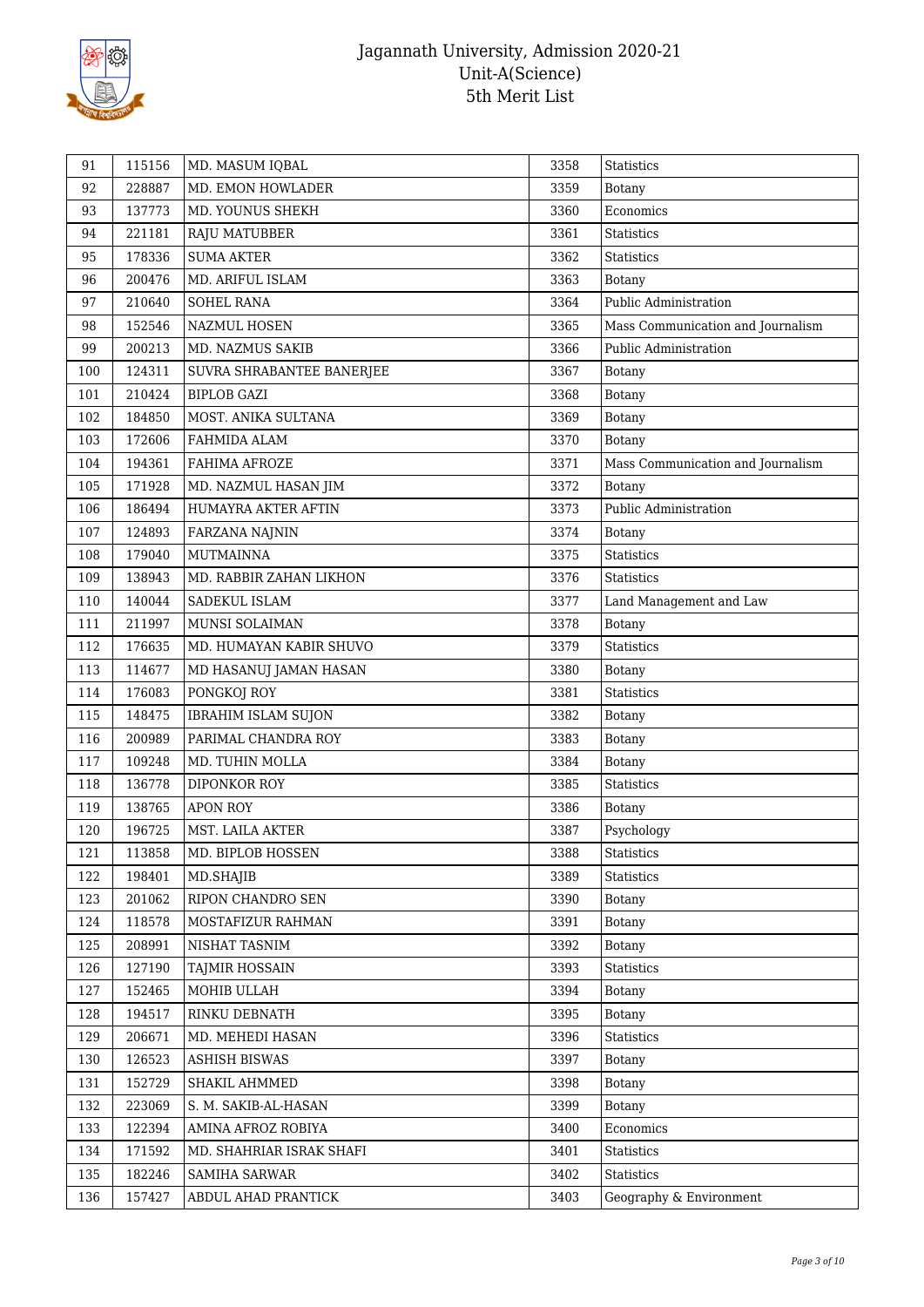

| 91  | 115156 | MD. MASUM IQBAL            | 3358 | Statistics                        |
|-----|--------|----------------------------|------|-----------------------------------|
| 92  | 228887 | MD. EMON HOWLADER          | 3359 | <b>Botany</b>                     |
| 93  | 137773 | MD. YOUNUS SHEKH           | 3360 | Economics                         |
| 94  | 221181 | RAJU MATUBBER              | 3361 | <b>Statistics</b>                 |
| 95  | 178336 | <b>SUMA AKTER</b>          | 3362 | <b>Statistics</b>                 |
| 96  | 200476 | MD. ARIFUL ISLAM           | 3363 | Botany                            |
| 97  | 210640 | <b>SOHEL RANA</b>          | 3364 | Public Administration             |
| 98  | 152546 | <b>NAZMUL HOSEN</b>        | 3365 | Mass Communication and Journalism |
| 99  | 200213 | MD. NAZMUS SAKIB           | 3366 | Public Administration             |
| 100 | 124311 | SUVRA SHRABANTEE BANERJEE  | 3367 | <b>Botany</b>                     |
| 101 | 210424 | <b>BIPLOB GAZI</b>         | 3368 | <b>Botany</b>                     |
| 102 | 184850 | MOST. ANIKA SULTANA        | 3369 | <b>Botany</b>                     |
| 103 | 172606 | FAHMIDA ALAM               | 3370 | <b>Botany</b>                     |
| 104 | 194361 | FAHIMA AFROZE              | 3371 | Mass Communication and Journalism |
| 105 | 171928 | MD. NAZMUL HASAN JIM       | 3372 | Botany                            |
| 106 | 186494 | HUMAYRA AKTER AFTIN        | 3373 | Public Administration             |
| 107 | 124893 | <b>FARZANA NAJNIN</b>      | 3374 | <b>Botany</b>                     |
| 108 | 179040 | <b>MUTMAINNA</b>           | 3375 | <b>Statistics</b>                 |
| 109 | 138943 | MD. RABBIR ZAHAN LIKHON    | 3376 | <b>Statistics</b>                 |
| 110 | 140044 | SADEKUL ISLAM              | 3377 | Land Management and Law           |
| 111 | 211997 | MUNSI SOLAIMAN             | 3378 | <b>Botany</b>                     |
| 112 | 176635 | MD. HUMAYAN KABIR SHUVO    | 3379 | Statistics                        |
| 113 | 114677 | MD HASANUJ JAMAN HASAN     | 3380 | <b>Botany</b>                     |
| 114 | 176083 | PONGKOJ ROY                | 3381 | Statistics                        |
| 115 | 148475 | <b>IBRAHIM ISLAM SUJON</b> | 3382 | <b>Botany</b>                     |
| 116 | 200989 | PARIMAL CHANDRA ROY        | 3383 | <b>Botany</b>                     |
| 117 | 109248 | MD. TUHIN MOLLA            | 3384 | Botany                            |
| 118 | 136778 | DIPONKOR ROY               | 3385 | <b>Statistics</b>                 |
| 119 | 138765 | <b>APON ROY</b>            | 3386 | Botany                            |
| 120 | 196725 | MST. LAILA AKTER           | 3387 | Psychology                        |
| 121 | 113858 | MD. BIPLOB HOSSEN          | 3388 | Statistics                        |
| 122 | 198401 | MD.SHAJIB                  | 3389 | Statistics                        |
| 123 | 201062 | RIPON CHANDRO SEN          | 3390 | Botany                            |
| 124 | 118578 | MOSTAFIZUR RAHMAN          | 3391 | <b>Botany</b>                     |
| 125 | 208991 | NISHAT TASNIM              | 3392 | <b>Botany</b>                     |
| 126 | 127190 | TAJMIR HOSSAIN             | 3393 | Statistics                        |
| 127 | 152465 | MOHIB ULLAH                | 3394 | <b>Botany</b>                     |
| 128 | 194517 | RINKU DEBNATH              | 3395 | <b>Botany</b>                     |
| 129 | 206671 | MD. MEHEDI HASAN           | 3396 | Statistics                        |
| 130 | 126523 | <b>ASHISH BISWAS</b>       | 3397 | Botany                            |
| 131 | 152729 | SHAKIL AHMMED              | 3398 | Botany                            |
| 132 | 223069 | S. M. SAKIB-AL-HASAN       | 3399 | <b>Botany</b>                     |
| 133 | 122394 | AMINA AFROZ ROBIYA         | 3400 | Economics                         |
| 134 | 171592 | MD. SHAHRIAR ISRAK SHAFI   | 3401 | Statistics                        |
| 135 | 182246 | <b>SAMIHA SARWAR</b>       | 3402 | Statistics                        |
| 136 | 157427 | ABDUL AHAD PRANTICK        | 3403 | Geography & Environment           |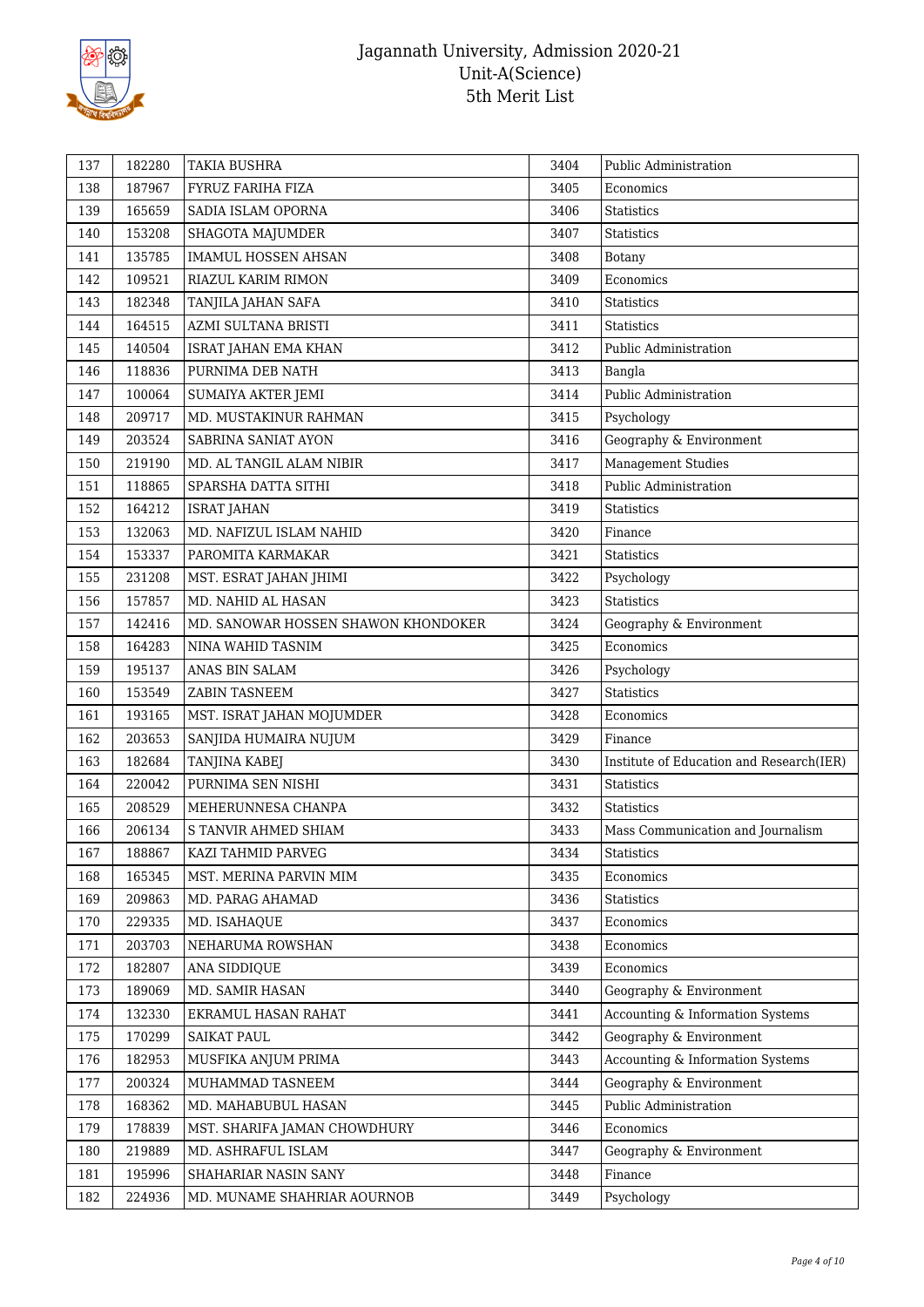

| 137 | 182280 | <b>TAKIA BUSHRA</b>                 | 3404 | Public Administration                    |
|-----|--------|-------------------------------------|------|------------------------------------------|
| 138 | 187967 | FYRUZ FARIHA FIZA                   | 3405 | Economics                                |
| 139 | 165659 | SADIA ISLAM OPORNA                  | 3406 | <b>Statistics</b>                        |
| 140 | 153208 | SHAGOTA MAJUMDER                    | 3407 | Statistics                               |
| 141 | 135785 | <b>IMAMUL HOSSEN AHSAN</b>          | 3408 | <b>Botany</b>                            |
| 142 | 109521 | RIAZUL KARIM RIMON                  | 3409 | Economics                                |
| 143 | 182348 | TANJILA JAHAN SAFA                  | 3410 | Statistics                               |
| 144 | 164515 | AZMI SULTANA BRISTI                 | 3411 | <b>Statistics</b>                        |
| 145 | 140504 | ISRAT JAHAN EMA KHAN                | 3412 | Public Administration                    |
| 146 | 118836 | PURNIMA DEB NATH                    | 3413 | Bangla                                   |
| 147 | 100064 | SUMAIYA AKTER JEMI                  | 3414 | Public Administration                    |
| 148 | 209717 | MD. MUSTAKINUR RAHMAN               | 3415 | Psychology                               |
| 149 | 203524 | SABRINA SANIAT AYON                 | 3416 | Geography & Environment                  |
| 150 | 219190 | MD. AL TANGIL ALAM NIBIR            | 3417 | <b>Management Studies</b>                |
| 151 | 118865 | SPARSHA DATTA SITHI                 | 3418 | Public Administration                    |
| 152 | 164212 | <b>ISRAT JAHAN</b>                  | 3419 | Statistics                               |
| 153 | 132063 | MD. NAFIZUL ISLAM NAHID             | 3420 | Finance                                  |
| 154 | 153337 | PAROMITA KARMAKAR                   | 3421 | Statistics                               |
| 155 | 231208 | MST. ESRAT JAHAN JHIMI              | 3422 | Psychology                               |
| 156 | 157857 | MD. NAHID AL HASAN                  | 3423 | <b>Statistics</b>                        |
| 157 | 142416 | MD. SANOWAR HOSSEN SHAWON KHONDOKER | 3424 | Geography & Environment                  |
| 158 | 164283 | NINA WAHID TASNIM                   | 3425 | Economics                                |
| 159 | 195137 | ANAS BIN SALAM                      | 3426 | Psychology                               |
| 160 | 153549 | ZABIN TASNEEM                       | 3427 | <b>Statistics</b>                        |
| 161 | 193165 | MST. ISRAT JAHAN MOJUMDER           | 3428 | Economics                                |
| 162 | 203653 | SANJIDA HUMAIRA NUJUM               | 3429 | Finance                                  |
| 163 | 182684 | TANJINA KABEJ                       | 3430 | Institute of Education and Research(IER) |
| 164 | 220042 | PURNIMA SEN NISHI                   | 3431 | <b>Statistics</b>                        |
| 165 | 208529 | MEHERUNNESA CHANPA                  | 3432 | <b>Statistics</b>                        |
| 166 | 206134 | S TANVIR AHMED SHIAM                | 3433 | Mass Communication and Journalism        |
| 167 | 188867 | KAZI TAHMID PARVEG                  | 3434 | <b>Statistics</b>                        |
| 168 | 165345 | MST. MERINA PARVIN MIM              | 3435 | Economics                                |
| 169 | 209863 | MD. PARAG AHAMAD                    | 3436 | Statistics                               |
| 170 | 229335 | MD. ISAHAQUE                        | 3437 | Economics                                |
| 171 | 203703 | NEHARUMA ROWSHAN                    | 3438 | Economics                                |
| 172 | 182807 | ANA SIDDIQUE                        | 3439 | Economics                                |
| 173 | 189069 | MD. SAMIR HASAN                     | 3440 | Geography & Environment                  |
| 174 | 132330 | EKRAMUL HASAN RAHAT                 | 3441 | Accounting & Information Systems         |
| 175 | 170299 | SAIKAT PAUL                         | 3442 | Geography & Environment                  |
| 176 | 182953 | MUSFIKA ANJUM PRIMA                 | 3443 | Accounting & Information Systems         |
| 177 | 200324 | MUHAMMAD TASNEEM                    | 3444 | Geography & Environment                  |
| 178 | 168362 | MD. MAHABUBUL HASAN                 | 3445 | Public Administration                    |
| 179 | 178839 | MST. SHARIFA JAMAN CHOWDHURY        | 3446 | Economics                                |
| 180 | 219889 | MD. ASHRAFUL ISLAM                  | 3447 | Geography & Environment                  |
| 181 | 195996 | SHAHARIAR NASIN SANY                | 3448 | Finance                                  |
| 182 | 224936 | MD. MUNAME SHAHRIAR AOURNOB         | 3449 | Psychology                               |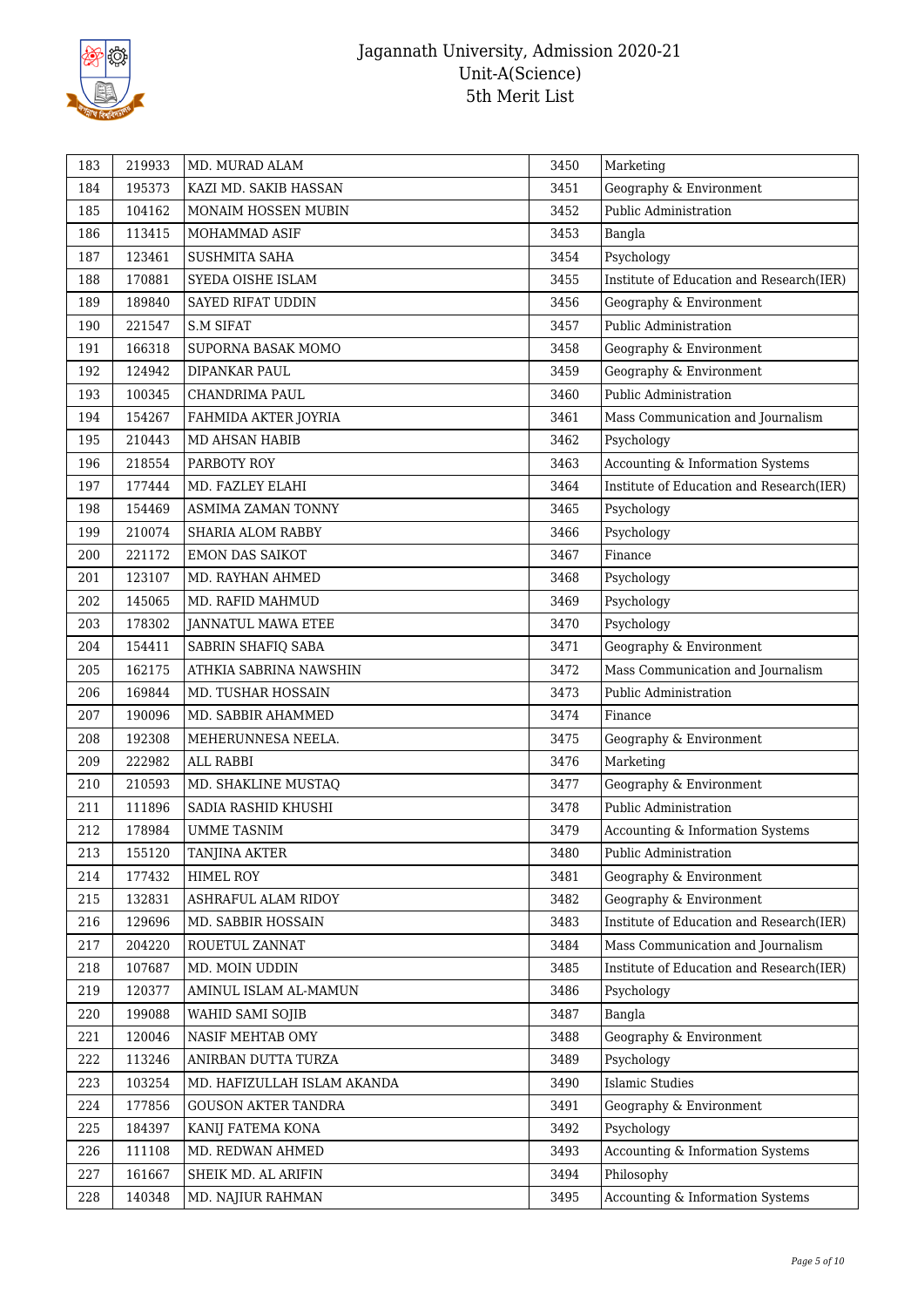

| 183 | 219933 | MD. MURAD ALAM              | 3450 | Marketing                                |
|-----|--------|-----------------------------|------|------------------------------------------|
| 184 | 195373 | KAZI MD. SAKIB HASSAN       | 3451 | Geography & Environment                  |
| 185 | 104162 | MONAIM HOSSEN MUBIN         | 3452 | Public Administration                    |
| 186 | 113415 | MOHAMMAD ASIF               | 3453 | Bangla                                   |
| 187 | 123461 | SUSHMITA SAHA               | 3454 | Psychology                               |
| 188 | 170881 | SYEDA OISHE ISLAM           | 3455 | Institute of Education and Research(IER) |
| 189 | 189840 | SAYED RIFAT UDDIN           | 3456 | Geography & Environment                  |
| 190 | 221547 | <b>S.M SIFAT</b>            | 3457 | Public Administration                    |
| 191 | 166318 | SUPORNA BASAK MOMO          | 3458 | Geography & Environment                  |
| 192 | 124942 | DIPANKAR PAUL               | 3459 | Geography & Environment                  |
| 193 | 100345 | CHANDRIMA PAUL              | 3460 | Public Administration                    |
| 194 | 154267 | FAHMIDA AKTER JOYRIA        | 3461 | Mass Communication and Journalism        |
| 195 | 210443 | MD AHSAN HABIB              | 3462 | Psychology                               |
| 196 | 218554 | PARBOTY ROY                 | 3463 | Accounting & Information Systems         |
| 197 | 177444 | MD. FAZLEY ELAHI            | 3464 | Institute of Education and Research(IER) |
| 198 | 154469 | ASMIMA ZAMAN TONNY          | 3465 | Psychology                               |
| 199 | 210074 | SHARIA ALOM RABBY           | 3466 | Psychology                               |
| 200 | 221172 | <b>EMON DAS SAIKOT</b>      | 3467 | Finance                                  |
| 201 | 123107 | MD. RAYHAN AHMED            | 3468 | Psychology                               |
| 202 | 145065 | MD. RAFID MAHMUD            | 3469 | Psychology                               |
| 203 | 178302 | JANNATUL MAWA ETEE          | 3470 | Psychology                               |
| 204 | 154411 | SABRIN SHAFIQ SABA          | 3471 | Geography & Environment                  |
| 205 | 162175 | ATHKIA SABRINA NAWSHIN      | 3472 | Mass Communication and Journalism        |
| 206 | 169844 | MD. TUSHAR HOSSAIN          | 3473 | Public Administration                    |
| 207 | 190096 | MD. SABBIR AHAMMED          | 3474 | Finance                                  |
| 208 | 192308 | MEHERUNNESA NEELA.          | 3475 | Geography & Environment                  |
| 209 | 222982 | ALL RABBI                   | 3476 | Marketing                                |
| 210 | 210593 | MD. SHAKLINE MUSTAQ         | 3477 | Geography & Environment                  |
| 211 | 111896 | SADIA RASHID KHUSHI         | 3478 | Public Administration                    |
| 212 | 178984 | UMME TASNIM                 | 3479 | Accounting & Information Systems         |
| 213 | 155120 | TANJINA AKTER               | 3480 | Public Administration                    |
| 214 | 177432 | HIMEL ROY                   | 3481 | Geography & Environment                  |
| 215 | 132831 | ASHRAFUL ALAM RIDOY         | 3482 | Geography & Environment                  |
| 216 | 129696 | MD. SABBIR HOSSAIN          | 3483 | Institute of Education and Research(IER) |
| 217 | 204220 | ROUETUL ZANNAT              | 3484 | Mass Communication and Journalism        |
| 218 | 107687 | MD. MOIN UDDIN              | 3485 | Institute of Education and Research(IER) |
| 219 | 120377 | AMINUL ISLAM AL-MAMUN       | 3486 | Psychology                               |
| 220 | 199088 | WAHID SAMI SOJIB            | 3487 | Bangla                                   |
| 221 | 120046 | NASIF MEHTAB OMY            | 3488 | Geography & Environment                  |
| 222 | 113246 | ANIRBAN DUTTA TURZA         | 3489 | Psychology                               |
| 223 | 103254 | MD. HAFIZULLAH ISLAM AKANDA | 3490 | <b>Islamic Studies</b>                   |
| 224 | 177856 | <b>GOUSON AKTER TANDRA</b>  | 3491 | Geography & Environment                  |
| 225 | 184397 | KANIJ FATEMA KONA           | 3492 | Psychology                               |
| 226 | 111108 | MD. REDWAN AHMED            | 3493 | Accounting & Information Systems         |
| 227 | 161667 | SHEIK MD. AL ARIFIN         | 3494 | Philosophy                               |
| 228 | 140348 | MD. NAJIUR RAHMAN           | 3495 | Accounting & Information Systems         |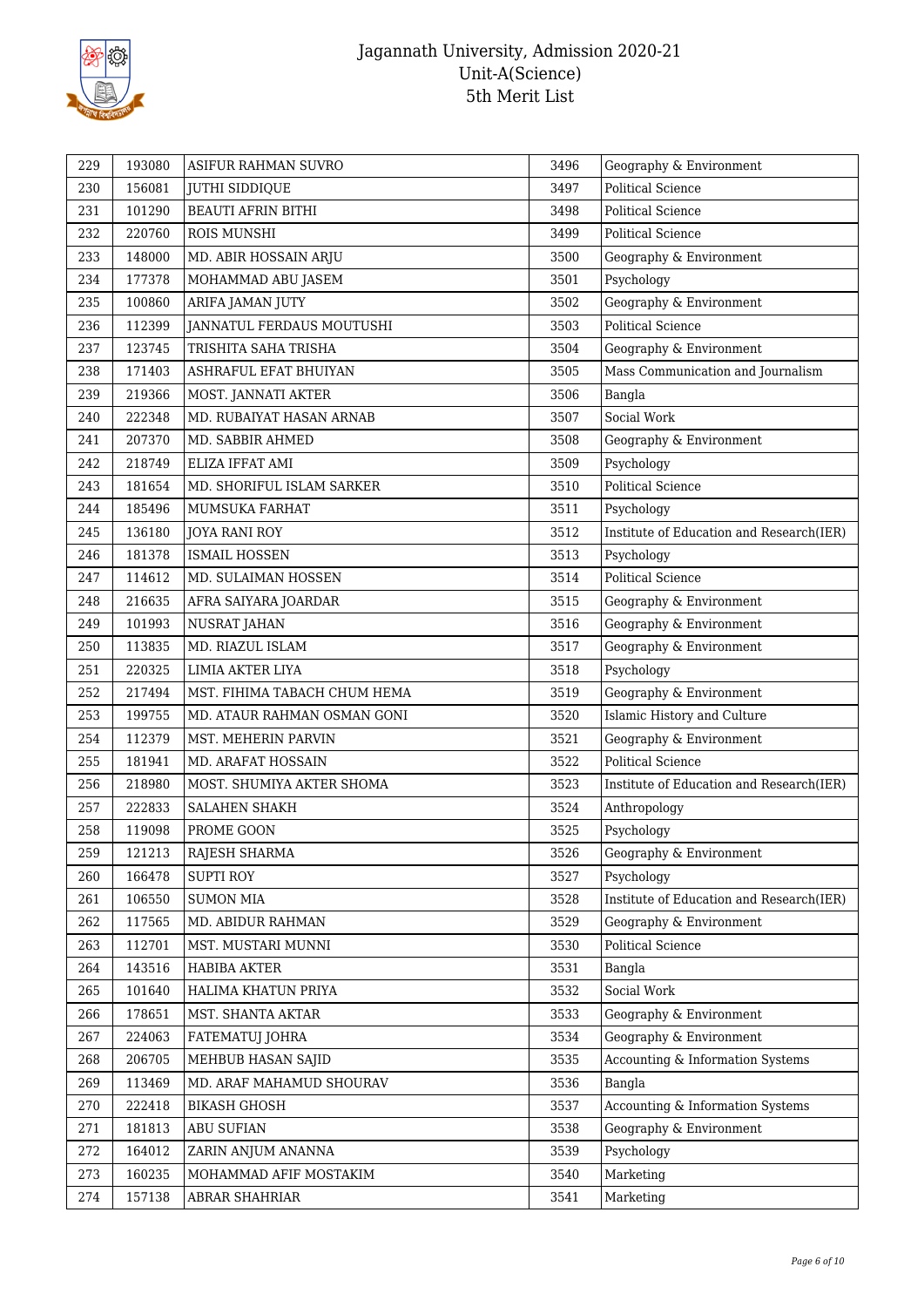

| 229 | 193080 | ASIFUR RAHMAN SUVRO          | 3496 | Geography & Environment                  |
|-----|--------|------------------------------|------|------------------------------------------|
| 230 | 156081 | <b>JUTHI SIDDIQUE</b>        | 3497 | <b>Political Science</b>                 |
| 231 | 101290 | <b>BEAUTI AFRIN BITHI</b>    | 3498 | <b>Political Science</b>                 |
| 232 | 220760 | ROIS MUNSHI                  | 3499 | <b>Political Science</b>                 |
| 233 | 148000 | MD. ABIR HOSSAIN ARJU        | 3500 | Geography & Environment                  |
| 234 | 177378 | MOHAMMAD ABU JASEM           | 3501 | Psychology                               |
| 235 | 100860 | ARIFA JAMAN JUTY             | 3502 | Geography & Environment                  |
| 236 | 112399 | JANNATUL FERDAUS MOUTUSHI    | 3503 | <b>Political Science</b>                 |
| 237 | 123745 | TRISHITA SAHA TRISHA         | 3504 | Geography & Environment                  |
| 238 | 171403 | ASHRAFUL EFAT BHUIYAN        | 3505 | Mass Communication and Journalism        |
| 239 | 219366 | MOST. JANNATI AKTER          | 3506 | Bangla                                   |
| 240 | 222348 | MD. RUBAIYAT HASAN ARNAB     | 3507 | Social Work                              |
| 241 | 207370 | MD. SABBIR AHMED             | 3508 | Geography & Environment                  |
| 242 | 218749 | ELIZA IFFAT AMI              | 3509 | Psychology                               |
| 243 | 181654 | MD. SHORIFUL ISLAM SARKER    | 3510 | <b>Political Science</b>                 |
| 244 | 185496 | MUMSUKA FARHAT               | 3511 | Psychology                               |
| 245 | 136180 | <b>JOYA RANI ROY</b>         | 3512 | Institute of Education and Research(IER) |
| 246 | 181378 | <b>ISMAIL HOSSEN</b>         | 3513 | Psychology                               |
| 247 | 114612 | MD. SULAIMAN HOSSEN          | 3514 | <b>Political Science</b>                 |
| 248 | 216635 | AFRA SAIYARA JOARDAR         | 3515 | Geography & Environment                  |
| 249 | 101993 | NUSRAT JAHAN                 | 3516 | Geography & Environment                  |
| 250 | 113835 | MD. RIAZUL ISLAM             | 3517 | Geography & Environment                  |
| 251 | 220325 | LIMIA AKTER LIYA             | 3518 | Psychology                               |
| 252 | 217494 | MST. FIHIMA TABACH CHUM HEMA | 3519 | Geography & Environment                  |
| 253 | 199755 | MD. ATAUR RAHMAN OSMAN GONI  | 3520 | Islamic History and Culture              |
| 254 | 112379 | MST. MEHERIN PARVIN          | 3521 | Geography & Environment                  |
| 255 | 181941 | MD. ARAFAT HOSSAIN           | 3522 | <b>Political Science</b>                 |
| 256 | 218980 | MOST. SHUMIYA AKTER SHOMA    | 3523 | Institute of Education and Research(IER) |
| 257 | 222833 | <b>SALAHEN SHAKH</b>         | 3524 | Anthropology                             |
| 258 | 119098 | PROME GOON                   | 3525 | Psychology                               |
| 259 | 121213 | RAJESH SHARMA                | 3526 | Geography & Environment                  |
| 260 | 166478 | <b>SUPTI ROY</b>             | 3527 | Psychology                               |
| 261 | 106550 | <b>SUMON MIA</b>             | 3528 | Institute of Education and Research(IER) |
| 262 | 117565 | MD. ABIDUR RAHMAN            | 3529 | Geography & Environment                  |
| 263 | 112701 | MST. MUSTARI MUNNI           | 3530 | Political Science                        |
| 264 | 143516 | HABIBA AKTER                 | 3531 | Bangla                                   |
| 265 | 101640 | HALIMA KHATUN PRIYA          | 3532 | Social Work                              |
| 266 | 178651 | MST. SHANTA AKTAR            | 3533 | Geography & Environment                  |
| 267 | 224063 | <b>FATEMATUJ JOHRA</b>       | 3534 | Geography & Environment                  |
| 268 | 206705 | MEHBUB HASAN SAJID           | 3535 | Accounting & Information Systems         |
| 269 | 113469 | MD. ARAF MAHAMUD SHOURAV     | 3536 | Bangla                                   |
| 270 | 222418 | <b>BIKASH GHOSH</b>          | 3537 | Accounting & Information Systems         |
| 271 | 181813 | ABU SUFIAN                   | 3538 | Geography & Environment                  |
| 272 | 164012 | ZARIN ANJUM ANANNA           | 3539 | Psychology                               |
| 273 | 160235 | MOHAMMAD AFIF MOSTAKIM       | 3540 | Marketing                                |
| 274 | 157138 | ABRAR SHAHRIAR               | 3541 | Marketing                                |
|     |        |                              |      |                                          |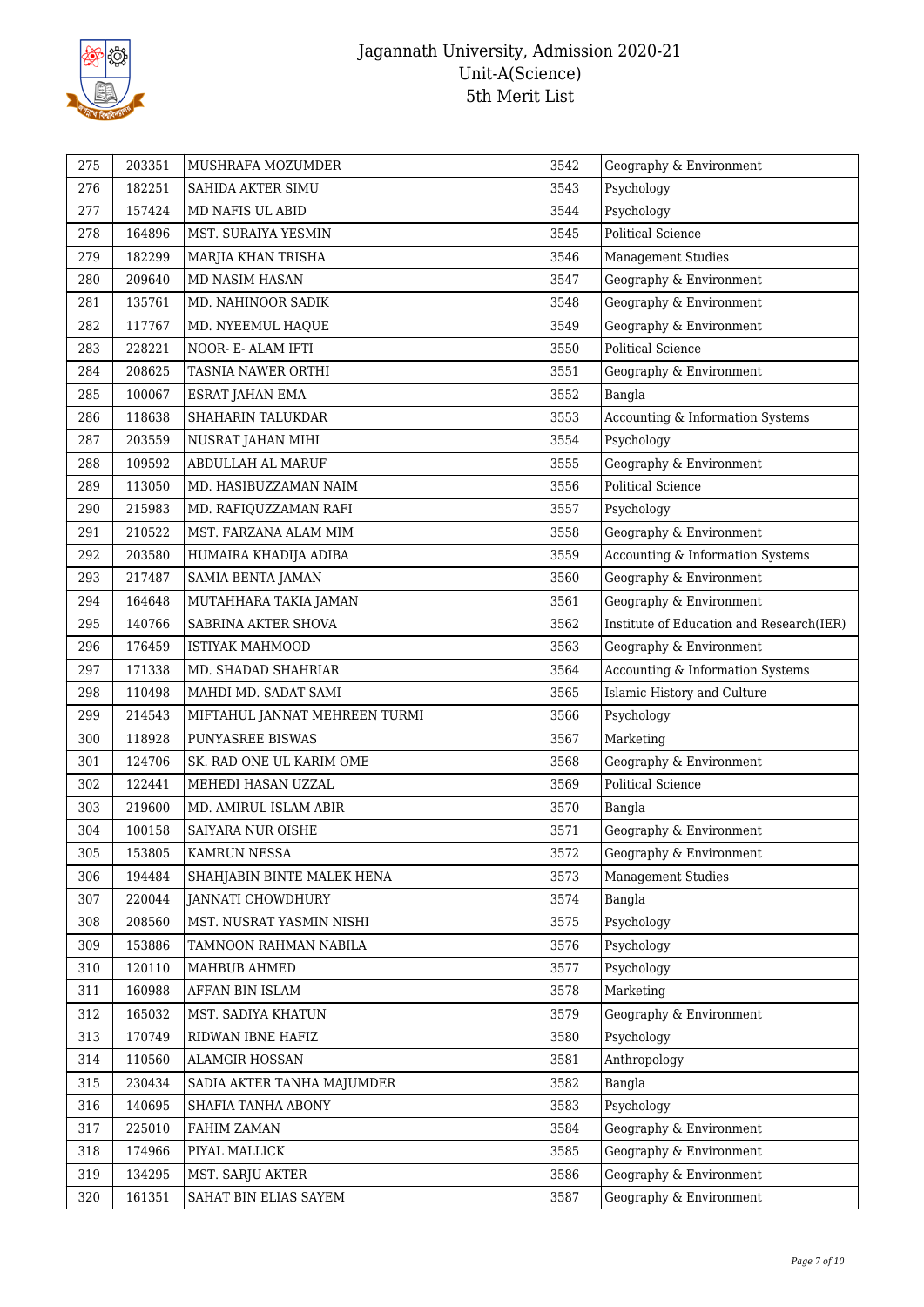

| 275 | 203351 | MUSHRAFA MOZUMDER             | 3542 | Geography & Environment                  |
|-----|--------|-------------------------------|------|------------------------------------------|
| 276 | 182251 | SAHIDA AKTER SIMU             | 3543 | Psychology                               |
| 277 | 157424 | MD NAFIS UL ABID              | 3544 | Psychology                               |
| 278 | 164896 | MST. SURAIYA YESMIN           | 3545 | <b>Political Science</b>                 |
| 279 | 182299 | MARJIA KHAN TRISHA            | 3546 | <b>Management Studies</b>                |
| 280 | 209640 | MD NASIM HASAN                | 3547 | Geography & Environment                  |
| 281 | 135761 | MD. NAHINOOR SADIK            | 3548 | Geography & Environment                  |
| 282 | 117767 | MD. NYEEMUL HAQUE             | 3549 | Geography & Environment                  |
| 283 | 228221 | NOOR- E- ALAM IFTI            | 3550 | <b>Political Science</b>                 |
| 284 | 208625 | TASNIA NAWER ORTHI            | 3551 | Geography & Environment                  |
| 285 | 100067 | ESRAT JAHAN EMA               | 3552 | Bangla                                   |
| 286 | 118638 | SHAHARIN TALUKDAR             | 3553 | Accounting & Information Systems         |
| 287 | 203559 | NUSRAT JAHAN MIHI             | 3554 | Psychology                               |
| 288 | 109592 | ABDULLAH AL MARUF             | 3555 | Geography & Environment                  |
| 289 | 113050 | MD. HASIBUZZAMAN NAIM         | 3556 | <b>Political Science</b>                 |
| 290 | 215983 | MD. RAFIQUZZAMAN RAFI         | 3557 | Psychology                               |
| 291 | 210522 | MST. FARZANA ALAM MIM         | 3558 | Geography & Environment                  |
| 292 | 203580 | HUMAIRA KHADIJA ADIBA         | 3559 | Accounting & Information Systems         |
| 293 | 217487 | SAMIA BENTA JAMAN             | 3560 | Geography & Environment                  |
| 294 | 164648 | MUTAHHARA TAKIA JAMAN         | 3561 | Geography & Environment                  |
| 295 | 140766 | SABRINA AKTER SHOVA           | 3562 | Institute of Education and Research(IER) |
| 296 | 176459 | <b>ISTIYAK MAHMOOD</b>        | 3563 | Geography & Environment                  |
| 297 | 171338 | MD. SHADAD SHAHRIAR           | 3564 | Accounting & Information Systems         |
| 298 | 110498 | MAHDI MD. SADAT SAMI          | 3565 | Islamic History and Culture              |
| 299 | 214543 | MIFTAHUL JANNAT MEHREEN TURMI | 3566 | Psychology                               |
| 300 | 118928 | PUNYASREE BISWAS              | 3567 | Marketing                                |
| 301 | 124706 | SK. RAD ONE UL KARIM OME      | 3568 | Geography & Environment                  |
| 302 | 122441 | MEHEDI HASAN UZZAL            | 3569 | <b>Political Science</b>                 |
| 303 | 219600 | MD. AMIRUL ISLAM ABIR         | 3570 | Bangla                                   |
| 304 | 100158 | SAIYARA NUR OISHE             | 3571 | Geography & Environment                  |
| 305 | 153805 | KAMRUN NESSA                  | 3572 | Geography & Environment                  |
| 306 | 194484 | SHAHJABIN BINTE MALEK HENA    | 3573 | <b>Management Studies</b>                |
| 307 | 220044 | <b>JANNATI CHOWDHURY</b>      | 3574 | Bangla                                   |
| 308 | 208560 | MST. NUSRAT YASMIN NISHI      | 3575 | Psychology                               |
| 309 | 153886 | TAMNOON RAHMAN NABILA         | 3576 | Psychology                               |
| 310 | 120110 | MAHBUB AHMED                  | 3577 | Psychology                               |
| 311 | 160988 | AFFAN BIN ISLAM               | 3578 | Marketing                                |
| 312 | 165032 | MST. SADIYA KHATUN            | 3579 | Geography & Environment                  |
| 313 | 170749 | RIDWAN IBNE HAFIZ             | 3580 | Psychology                               |
| 314 | 110560 | ALAMGIR HOSSAN                | 3581 | Anthropology                             |
| 315 | 230434 | SADIA AKTER TANHA MAJUMDER    | 3582 | Bangla                                   |
| 316 | 140695 | SHAFIA TANHA ABONY            | 3583 | Psychology                               |
| 317 | 225010 | FAHIM ZAMAN                   | 3584 | Geography & Environment                  |
| 318 | 174966 | PIYAL MALLICK                 | 3585 | Geography & Environment                  |
| 319 | 134295 | MST. SARJU AKTER              | 3586 | Geography & Environment                  |
| 320 | 161351 | SAHAT BIN ELIAS SAYEM         | 3587 | Geography & Environment                  |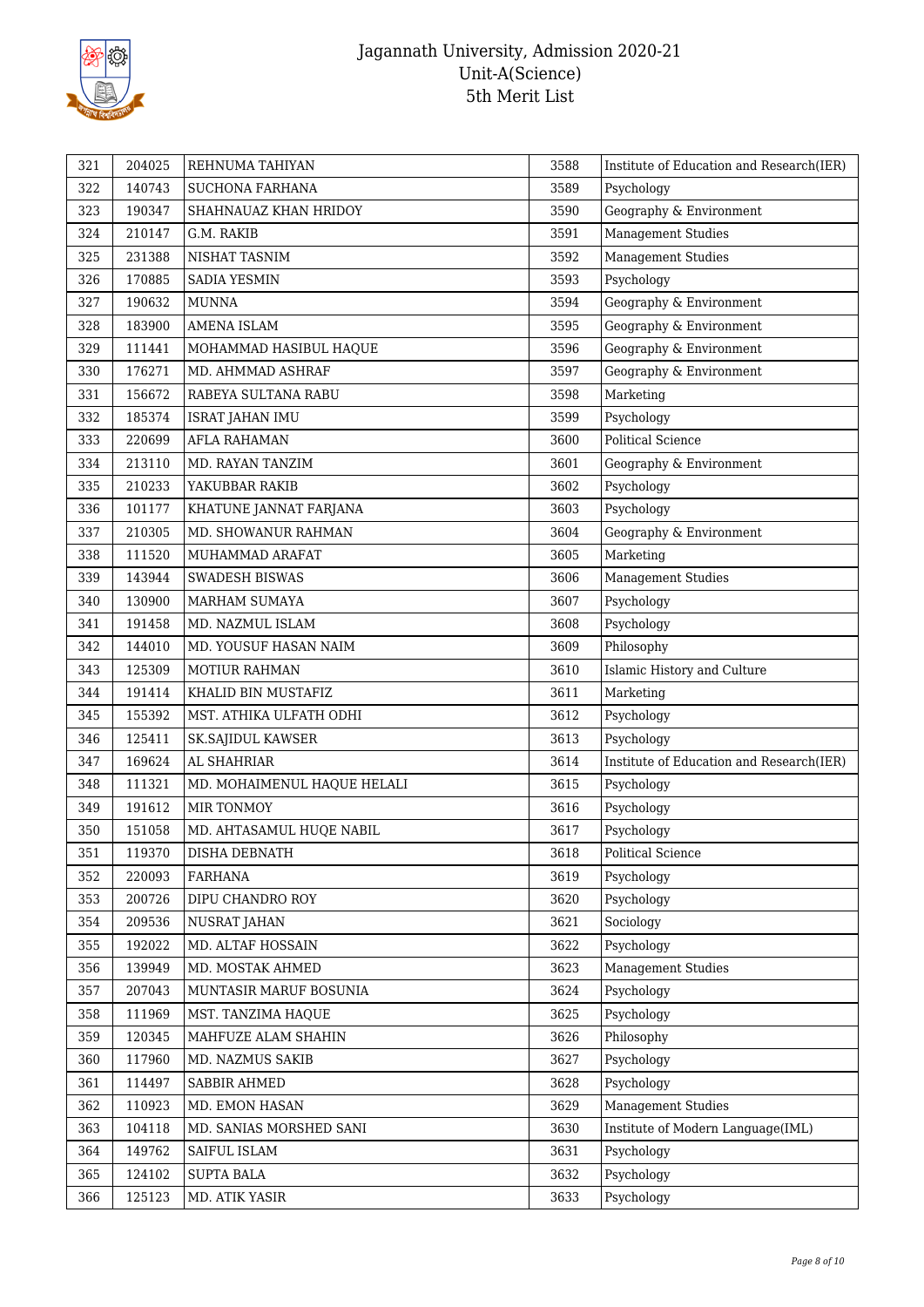

| 321<br>204025<br>3588<br>REHNUMA TAHIYAN                                   | Institute of Education and Research(IER) |
|----------------------------------------------------------------------------|------------------------------------------|
| 322<br>140743<br>SUCHONA FARHANA<br>3589<br>Psychology                     |                                          |
| 323<br>190347<br>3590<br>Geography & Environment<br>SHAHNAUAZ KHAN HRIDOY  |                                          |
| Management Studies<br>324<br>210147<br>G.M. RAKIB<br>3591                  |                                          |
| <b>Management Studies</b><br>325<br>231388<br>3592<br>NISHAT TASNIM        |                                          |
| Psychology<br>326<br>170885<br>SADIA YESMIN<br>3593                        |                                          |
| 327<br>190632<br>Geography & Environment<br><b>MUNNA</b><br>3594           |                                          |
| 183900<br>3595<br>Geography & Environment<br>328<br>AMENA ISLAM            |                                          |
| 329<br>111441<br>3596<br>Geography & Environment<br>MOHAMMAD HASIBUL HAQUE |                                          |
| Geography & Environment<br>330<br>176271<br>MD. AHMMAD ASHRAF<br>3597      |                                          |
| Marketing<br>331<br>156672<br>RABEYA SULTANA RABU<br>3598                  |                                          |
| 185374<br>Psychology<br>332<br>3599<br><b>ISRAT JAHAN IMU</b>              |                                          |
| <b>Political Science</b><br>333<br>220699<br><b>AFLA RAHAMAN</b><br>3600   |                                          |
| 334<br>213110<br>MD. RAYAN TANZIM<br>3601<br>Geography & Environment       |                                          |
| 335<br>210233<br>YAKUBBAR RAKIB<br>3602<br>Psychology                      |                                          |
| 101177<br>3603<br>Psychology<br>336<br>KHATUNE JANNAT FARJANA              |                                          |
| 337<br>210305<br>MD. SHOWANUR RAHMAN<br>3604<br>Geography & Environment    |                                          |
| Marketing<br>338<br>111520<br>3605<br>MUHAMMAD ARAFAT                      |                                          |
| <b>Management Studies</b><br>339<br>143944<br>SWADESH BISWAS<br>3606       |                                          |
| 130900<br>3607<br>Psychology<br>340<br>MARHAM SUMAYA                       |                                          |
| 191458<br>Psychology<br>341<br>MD. NAZMUL ISLAM<br>3608                    |                                          |
| Philosophy<br>342<br>144010<br>3609<br>MD. YOUSUF HASAN NAIM               |                                          |
| 3610<br>343<br>125309<br><b>MOTIUR RAHMAN</b>                              | Islamic History and Culture              |
| 344<br>3611<br>Marketing<br>191414<br>KHALID BIN MUSTAFIZ                  |                                          |
| 345<br>155392<br>MST. ATHIKA ULFATH ODHI<br>3612<br>Psychology             |                                          |
| Psychology<br>346<br>125411<br>3613<br>SK.SAJIDUL KAWSER                   |                                          |
| 347<br>169624<br>AL SHAHRIAR<br>3614                                       | Institute of Education and Research(IER) |
| 348<br>111321<br>3615<br>Psychology<br>MD. MOHAIMENUL HAQUE HELALI         |                                          |
| 349<br>191612<br>MIR TONMOY<br>3616<br>Psychology                          |                                          |
| 350<br>3617<br>Psychology<br>151058<br>MD. AHTASAMUL HUQE NABIL            |                                          |
| 351<br>119370<br>DISHA DEBNATH<br>3618<br>Political Science                |                                          |
| 352<br>220093<br><b>FARHANA</b><br>3619<br>Psychology                      |                                          |
| 353<br>200726<br>DIPU CHANDRO ROY<br>3620<br>Psychology                    |                                          |
| 354<br>209536<br>NUSRAT JAHAN<br>3621<br>Sociology                         |                                          |
| 355<br>192022<br>MD. ALTAF HOSSAIN<br>Psychology<br>3622                   |                                          |
| 139949<br>356<br>MD. MOSTAK AHMED<br>3623<br><b>Management Studies</b>     |                                          |
| 357<br>207043<br>3624<br>Psychology<br>MUNTASIR MARUF BOSUNIA              |                                          |
| 358<br>111969<br>3625<br>Psychology<br>MST. TANZIMA HAQUE                  |                                          |
| 359<br>3626<br>Philosophy<br>120345<br>MAHFUZE ALAM SHAHIN                 |                                          |
| 360<br>117960<br>3627<br>Psychology<br>MD. NAZMUS SAKIB                    |                                          |
| 361<br>114497<br>SABBIR AHMED<br>3628<br>Psychology                        |                                          |
| 362<br>110923<br>MD. EMON HASAN<br>3629<br><b>Management Studies</b>       |                                          |
| 363<br>104118<br>MD. SANIAS MORSHED SANI<br>3630                           | Institute of Modern Language(IML)        |
| 149762<br>SAIFUL ISLAM<br>3631<br>Psychology<br>364                        |                                          |
| 365<br>124102<br><b>SUPTA BALA</b><br>3632<br>Psychology                   |                                          |
| 125123<br>3633<br>Psychology<br>366<br>MD. ATIK YASIR                      |                                          |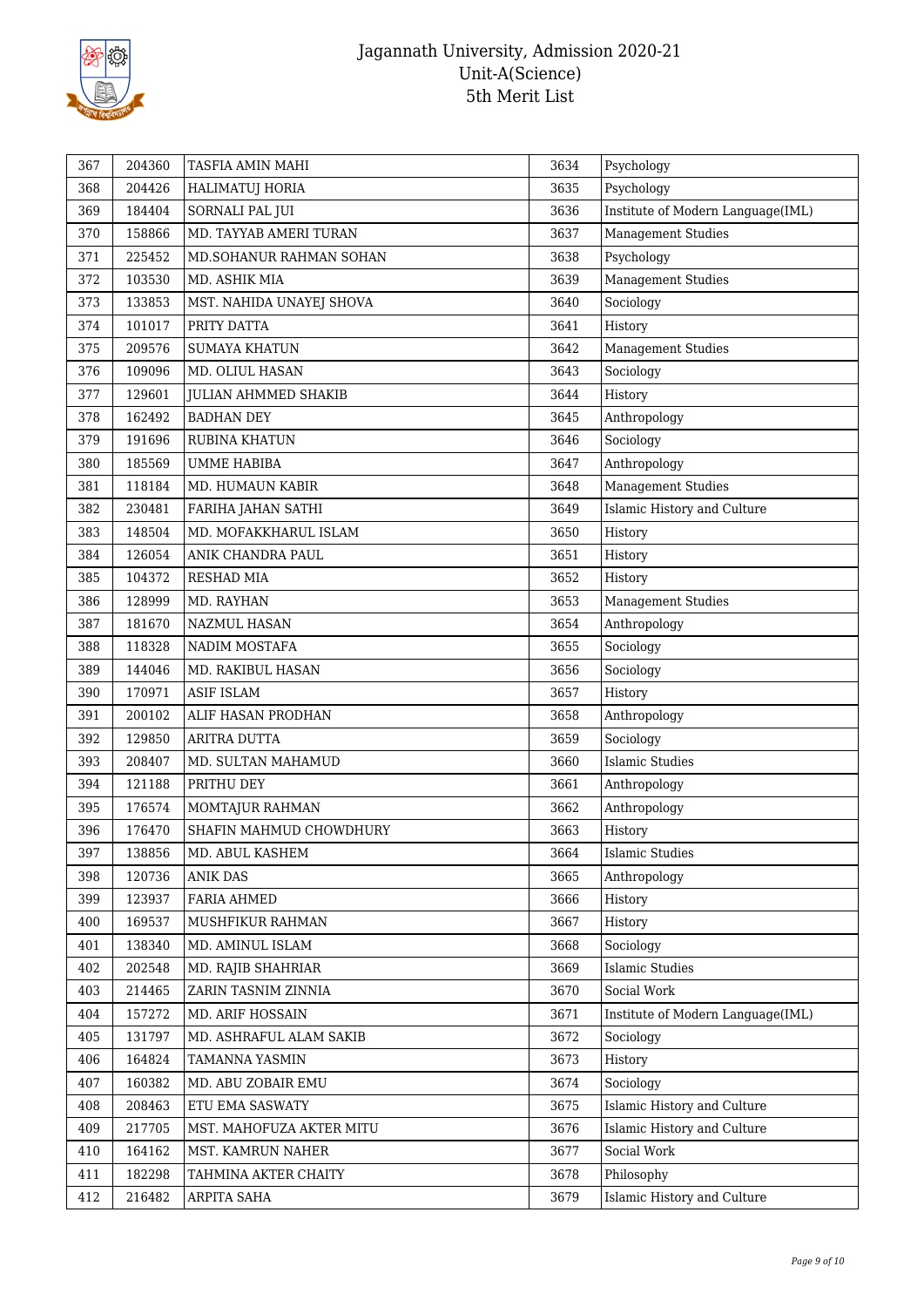

| 367 | 204360 | TASFIA AMIN MAHI            | 3634 | Psychology                        |
|-----|--------|-----------------------------|------|-----------------------------------|
| 368 | 204426 | HALIMATUJ HORIA             | 3635 | Psychology                        |
| 369 | 184404 | SORNALI PAL JUI             | 3636 | Institute of Modern Language(IML) |
| 370 | 158866 | MD. TAYYAB AMERI TURAN      | 3637 | <b>Management Studies</b>         |
| 371 | 225452 | MD.SOHANUR RAHMAN SOHAN     | 3638 | Psychology                        |
| 372 | 103530 | MD. ASHIK MIA               | 3639 | <b>Management Studies</b>         |
| 373 | 133853 | MST. NAHIDA UNAYEJ SHOVA    | 3640 | Sociology                         |
| 374 | 101017 | PRITY DATTA                 | 3641 | History                           |
| 375 | 209576 | <b>SUMAYA KHATUN</b>        | 3642 | <b>Management Studies</b>         |
| 376 | 109096 | MD. OLIUL HASAN             | 3643 | Sociology                         |
| 377 | 129601 | <b>JULIAN AHMMED SHAKIB</b> | 3644 | History                           |
| 378 | 162492 | <b>BADHAN DEY</b>           | 3645 | Anthropology                      |
| 379 | 191696 | <b>RUBINA KHATUN</b>        | 3646 | Sociology                         |
| 380 | 185569 | <b>UMME HABIBA</b>          | 3647 | Anthropology                      |
| 381 | 118184 | MD. HUMAUN KABIR            | 3648 | Management Studies                |
| 382 | 230481 | FARIHA JAHAN SATHI          | 3649 | Islamic History and Culture       |
| 383 | 148504 | MD. MOFAKKHARUL ISLAM       | 3650 | History                           |
| 384 | 126054 | ANIK CHANDRA PAUL           | 3651 | History                           |
| 385 | 104372 | <b>RESHAD MIA</b>           | 3652 | History                           |
| 386 | 128999 | MD. RAYHAN                  | 3653 | <b>Management Studies</b>         |
| 387 | 181670 | NAZMUL HASAN                | 3654 | Anthropology                      |
| 388 | 118328 | NADIM MOSTAFA               | 3655 | Sociology                         |
| 389 | 144046 | MD. RAKIBUL HASAN           | 3656 | Sociology                         |
| 390 | 170971 | <b>ASIF ISLAM</b>           | 3657 | History                           |
| 391 | 200102 | ALIF HASAN PRODHAN          | 3658 | Anthropology                      |
| 392 | 129850 | ARITRA DUTTA                | 3659 | Sociology                         |
| 393 | 208407 | MD. SULTAN MAHAMUD          | 3660 | <b>Islamic Studies</b>            |
| 394 | 121188 | PRITHU DEY                  | 3661 | Anthropology                      |
| 395 | 176574 | MOMTAJUR RAHMAN             | 3662 | Anthropology                      |
| 396 | 176470 | SHAFIN MAHMUD CHOWDHURY     | 3663 | History                           |
| 397 | 138856 | MD. ABUL KASHEM             | 3664 | <b>Islamic Studies</b>            |
| 398 | 120736 | <b>ANIK DAS</b>             | 3665 | Anthropology                      |
| 399 | 123937 | FARIA AHMED                 | 3666 | History                           |
| 400 | 169537 | MUSHFIKUR RAHMAN            | 3667 | History                           |
| 401 | 138340 | MD. AMINUL ISLAM            | 3668 | Sociology                         |
| 402 | 202548 | MD. RAJIB SHAHRIAR          | 3669 | <b>Islamic Studies</b>            |
| 403 | 214465 | ZARIN TASNIM ZINNIA         | 3670 | Social Work                       |
| 404 | 157272 | MD. ARIF HOSSAIN            | 3671 | Institute of Modern Language(IML) |
| 405 | 131797 | MD. ASHRAFUL ALAM SAKIB     | 3672 | Sociology                         |
| 406 | 164824 | TAMANNA YASMIN              | 3673 | History                           |
| 407 | 160382 | MD. ABU ZOBAIR EMU          | 3674 | Sociology                         |
| 408 | 208463 | ETU EMA SASWATY             | 3675 | Islamic History and Culture       |
| 409 | 217705 | MST. MAHOFUZA AKTER MITU    | 3676 | Islamic History and Culture       |
| 410 | 164162 | MST. KAMRUN NAHER           | 3677 | Social Work                       |
| 411 | 182298 | TAHMINA AKTER CHAITY        | 3678 | Philosophy                        |
| 412 | 216482 | ARPITA SAHA                 | 3679 | Islamic History and Culture       |